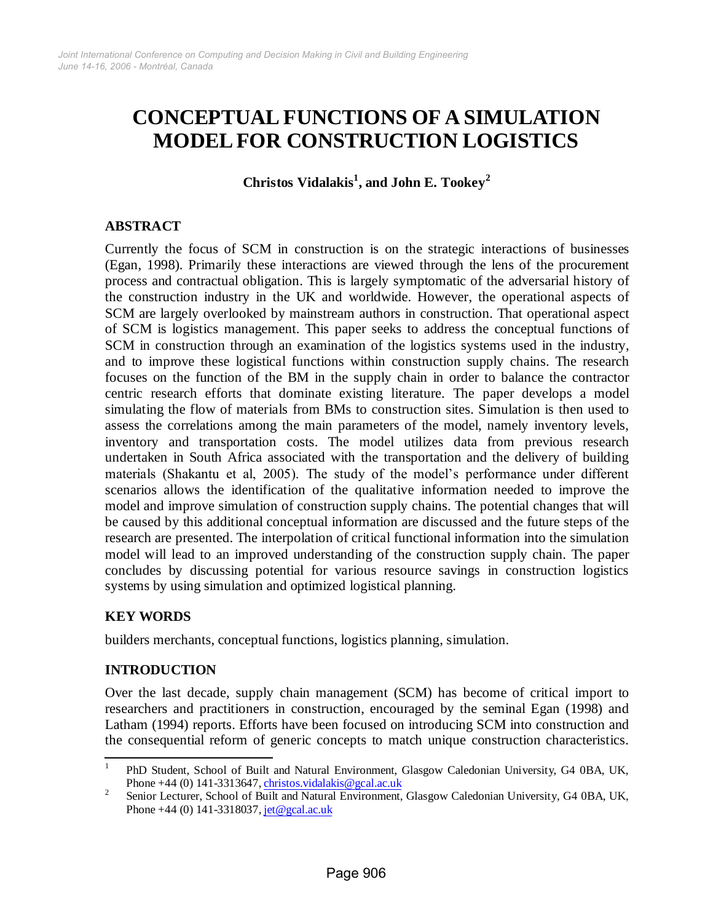# **CONCEPTUAL FUNCTIONS OF A SIMULATION MODEL FOR CONSTRUCTION LOGISTICS**

**Christos Vidalakis<sup>1</sup> , and J ohn E. Tookey<sup>2</sup>**

## **ABSTRACT**

Currently the focus of SCM in construction is on the strategic interactions of businesses (Egan, 1998). Primarily these interactions are viewed through the lens of the procurement process and contractual obligation. This is largely symptomatic of the adversarial history of the construction industry in the UK and worldwide. However, the operational aspects of SCM are largely overlooked by mainstream authors in construction. That operational aspect of SCM is logistics management. This paper seeks to address the conceptual functions of SCM in construction through an examination of the logistics systems used in the industry, and to improve these logistical functions within construction supply chains. The research focuses on the function of the BM in the supply chain in order to balance the contractor centric research efforts that dominate existing literature. The paper develops a model simulating the flow of materials from BMs to construction sites. Simulation is then used to assess the correlations among the main parameters of the model, namely inventory levels, inventory and transportation costs. The model utilizes data from previous research undertaken in South Africa associated with the transportation and the delivery of building materials (Shakantu et al, 2005). The study of the model's performance under different scenarios allows the identification of the qualitative information needed to improve the model and improve simulation of construction supply chains. The potential changes that will be caused by this additional conceptual information are discussed and the future steps of the research are presented. The interpolation of critical functional information into the simulation model will lead to an improved understanding of the construction supply chain. The paper concludes by discussing potential for various resource savings in construction logistics systems by using simulation and optimized logistical planning.

## **KEY WORDS**

builders merchants, conceptual functions, logistics planning, simulation.

# **INTRODUCTION**

Over the last decade, supply chain management (SCM) has become of critical import to researchers and practitioners in construction, encouraged by the seminal Egan (1998) and Latham (1994) reports. Efforts have been focused on introducing SCM into construction and the consequential reform of generic concepts to match unique construction characteristics.

<sup>|&</sup>lt;br>|<br>| PhD Student, School of Built and Natural Environment, Glasgow Caledonian University, G4 0BA, UK, Phone  $+44$  (0) 141-3313647, [christos.vidalakis@gcal.ac.uk](mailto:christos.vidalakis@gcal.ac.uk)

<sup>2</sup> Senior Lecturer, School of Built and Natural Environment, Glasgow Caledonian University, G4 0BA, UK, Phone +44 (0) 141-3318037, [jet@gcal.ac.uk](mailto:jet@gcal.ac.uk)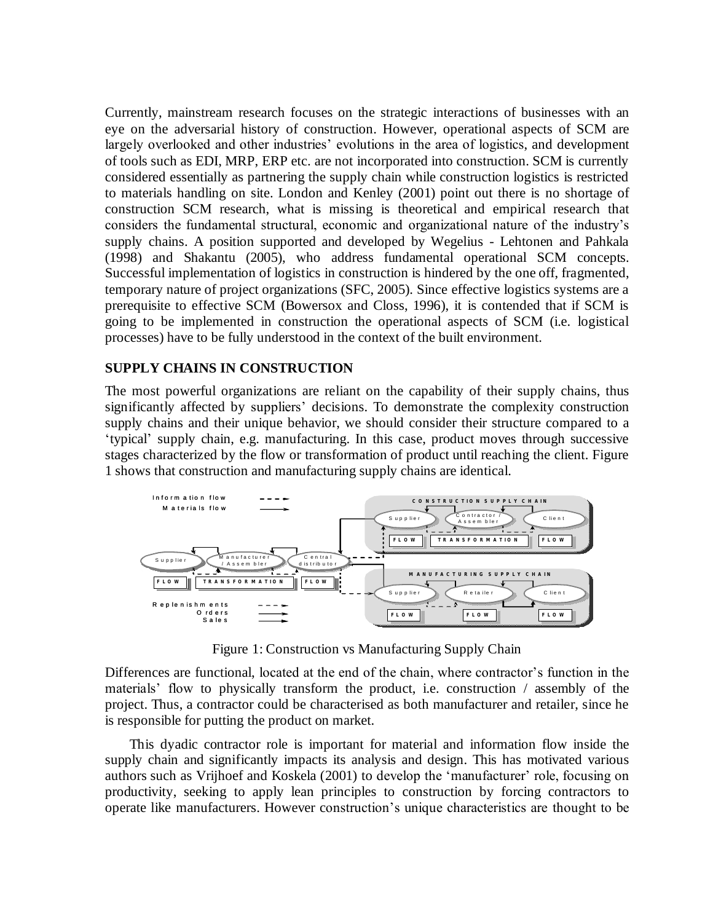Currently, mainstream research focuses on the strategic interactions of businesses with an eye on the adversarial history of construction. However, operational aspects of SCM are largely overlooked and other industries' evolutions in the area of logistics, and development of tools such as EDI, MRP, ERP etc. are not incorporated into construction. SCM is currently considered essentially as partnering the supply chain while construction logistics is restricted to materials handling on site. London and Kenley (2001) point out there is no shortage of construction SCM research, what is missing is theoretical and empirical research that considers the fundamental structural, economic and organizational nature of the industry's supply chains. A position supported and developed by Wegelius - Lehtonen and Pahkala (1998) and Shakantu (2005), who address fundamental operational SCM concepts. Successful implementation of logistics in construction is hindered by the one off, fragmented, temporary nature of project organizations (SFC, 2005). Since effective logistics systems are a prerequisite to effective SCM (Bowersox and Closs, 1996), it is contended that if SCM is going to be implemented in construction the operational aspects of SCM (i.e. logistical processes) have to be fully understood in the context of the built environment.

## **SUPPLY CHAINS IN CONSTRUCTION**

The most powerful organizations are reliant on the capability of their supply chains, thus significantly affected by suppliers' decisions. To demonstrate the complexity construction supply chains and their unique behavior, we should consider their structure compared to a 'typical' supply chain, e.g. manufacturing. In this case, product moves through successive stages characterized by the flow or transformation of product until reaching the client. Figure 1 shows that construction and manufacturing supply chains are identical.



Figure 1: Construction vs Manufacturing Supply Chain

Differences are functional, located at the end of the chain, where contractor's function in the materials' flow to physically transform the product, i.e. construction / assembly of the project. Thus, a contractor could be characterised as both manufacturer and retailer, since he is responsible for putting the product on market.

This dyadic contractor role is important for material and information flow inside the supply chain and significantly impacts its analysis and design. This has motivated various authors such as Vrijhoef and Koskela (2001) to develop the 'manufacturer' role, focusing on productivity, seeking to apply lean principles to construction by forcing contractors to operate like manufacturers. However construction's unique characteristics are thought to be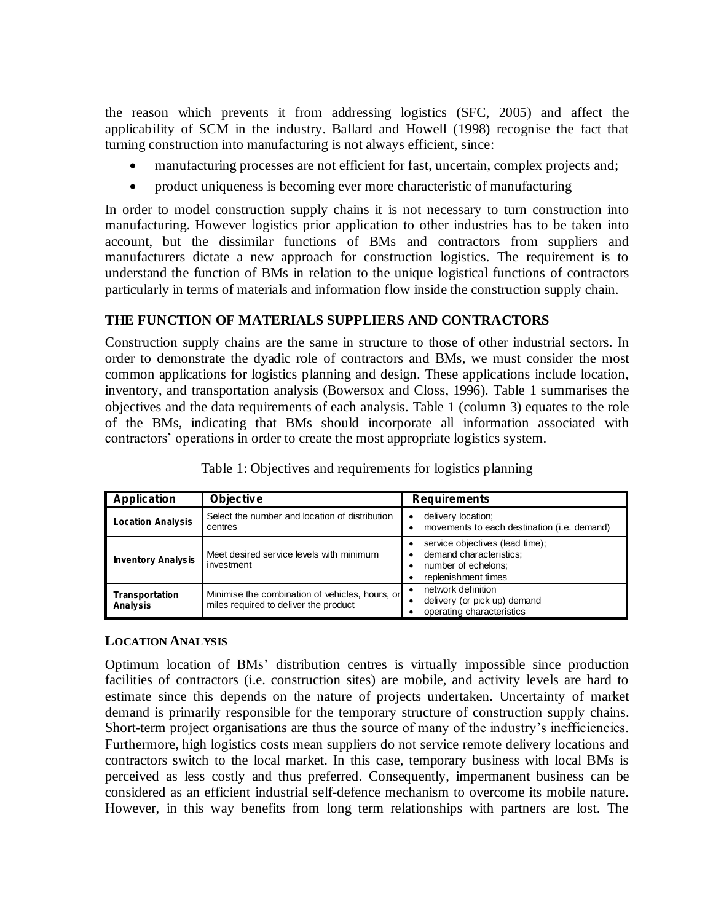the reason which prevents it from addressing logistics (SFC, 2005) and affect the applicability of SCM in the industry. Ballard and Howell (1998) recognise the fact that turning construction into manufacturing is not always efficient, since:

- manufacturing processes are not efficient for fast, uncertain, complex projects and;
- product uniqueness is becoming ever more characteristic of manufacturing

In order to model construction supply chains it is not necessary to turn construction into manufacturing. However logistics prior application to other industries has to be taken into account, but the dissimilar functions of BMs and contractors from suppliers and manufacturers dictate a new approach for construction logistics. The requirement is to understand the function of BMs in relation to the unique logistical functions of contractors particularly in terms of materials and information flow inside the construction supply chain.

# **THE FUNCTION OF MATERIALS SUPPLIERS AND CONTRACTORS**

Construction supply chains are the same in structure to those of other industrial sectors. In order to demonstrate the dyadic role of contractors and BMs, we must consider the most common applications for logistics planning and design. These applications include location, inventory, and transportation analysis (Bowersox and Closs, 1996). Table 1 summarises the objectives and the data requirements of each analysis. Table 1 (column 3) equates to the role of the BMs, indicating that BMs should incorporate all information associated with contractors' operations in order to create the most appropriate logistics system.

| <b>Application</b>                | <b>Objective</b>                                                                         | <b>Requirements</b>                                                                                      |
|-----------------------------------|------------------------------------------------------------------------------------------|----------------------------------------------------------------------------------------------------------|
| <b>Location Analysis</b>          | Select the number and location of distribution<br>centres                                | delivery location;<br>movements to each destination (i.e. demand)                                        |
| <b>Inventory Analysis</b>         | Meet desired service levels with minimum<br>investment                                   | service objectives (lead time);<br>demand characteristics;<br>number of echelons:<br>replenishment times |
| <b>Transportation</b><br>Analysis | Minimise the combination of vehicles, hours, or<br>miles required to deliver the product | network definition<br>delivery (or pick up) demand<br>operating characteristics                          |

Table 1: Objectives and requirements for logistics planning

## **LOCATION ANALYSIS**

Optimum location of BMs' distribution centres is virtually impossible since production facilities of contractors (i.e. construction sites) are mobile, and activity levels are hard to estimate since this depends on the nature of projects undertaken. Uncertainty of market demand is primarily responsible for the temporary structure of construction supply chains. Short-term project organisations are thus the source of many of the industry's inefficiencies. Furthermore, high logistics costs mean suppliers do not service remote delivery locations and contractors switch to the local market. In this case, temporary business with local BMs is perceived as less costly and thus preferred. Consequently, impermanent business can be considered as an efficient industrial self-defence mechanism to overcome its mobile nature. However, in this way benefits from long term relationships with partners are lost. The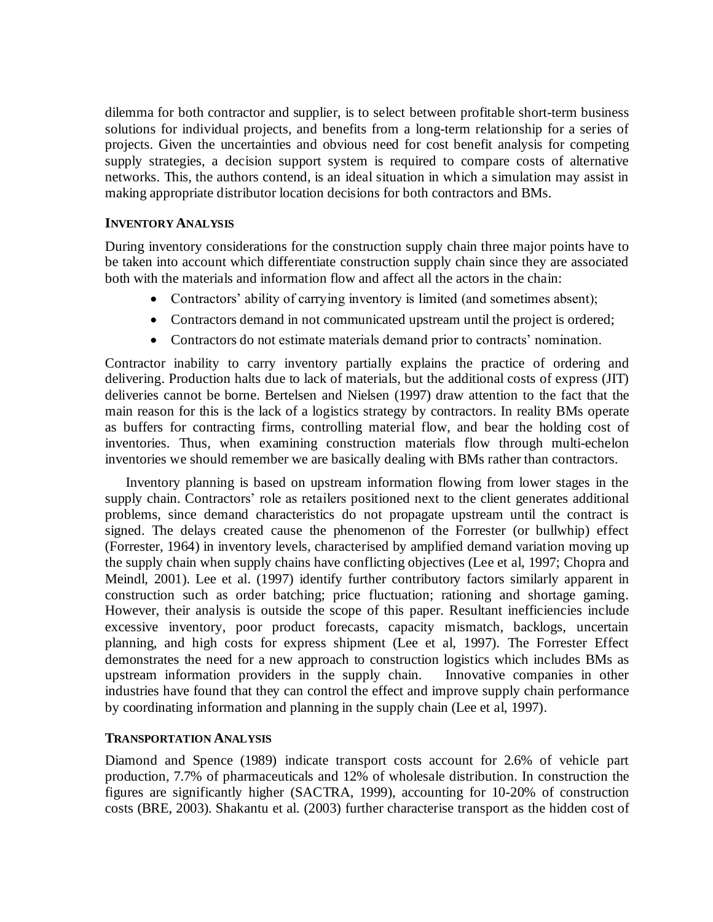dilemma for both contractor and supplier, is to select between profitable short-term business solutions for individual projects, and benefits from a long-term relationship for a series of projects. Given the uncertainties and obvious need for cost benefit analysis for competing supply strategies, a decision support system is required to compare costs of alternative networks. This, the authors contend, is an ideal situation in which a simulation may assist in making appropriate distributor location decisions for both contractors and BMs.

## **INVENTORY ANALYSIS**

During inventory considerations for the construction supply chain three major points have to be taken into account which differentiate construction supply chain since they are associated both with the materials and information flow and affect all the actors in the chain:

- Contractors' ability of carrying inventory is limited (and sometimes absent);
- Contractors demand in not communicated upstream until the project is ordered;
- Contractors do not estimate materials demand prior to contracts' nomination.

Contractor inability to carry inventory partially explains the practice of ordering and delivering. Production halts due to lack of materials, but the additional costs of express (JIT) deliveries cannot be borne. Bertelsen and Nielsen (1997) draw attention to the fact that the main reason for this is the lack of a logistics strategy by contractors. In reality BMs operate as buffers for contracting firms, controlling material flow, and bear the holding cost of inventories. Thus, when examining construction materials flow through multi-echelon inventories we should remember we are basically dealing with BMs rather than contractors.

Inventory planning is based on upstream information flowing from lower stages in the supply chain. Contractors' role as retailers positioned next to the client generates additional problems, since demand characteristics do not propagate upstream until the contract is signed. The delays created cause the phenomenon of the Forrester (or bullwhip) effect (Forrester, 1964) in inventory levels, characterised by amplified demand variation moving up the supply chain when supply chains have conflicting objectives (Lee et al, 1997; Chopra and Meindl, 2001). Lee et al. (1997) identify further contributory factors similarly apparent in construction such as order batching; price fluctuation; rationing and shortage gaming. However, their analysis is outside the scope of this paper. Resultant inefficiencies include excessive inventory, poor product forecasts, capacity mismatch, backlogs, uncertain planning, and high costs for express shipment (Lee et al, 1997). The Forrester Effect demonstrates the need for a new approach to construction logistics which includes BMs as upstream information providers in the supply chain. Innovative companies in other industries have found that they can control the effect and improve supply chain performance by coordinating information and planning in the supply chain (Lee et al, 1997).

## **TRANSPORTATION ANALYSIS**

Diamond and Spence (1989) indicate transport costs account for 2.6% of vehicle part production, 7.7% of pharmaceuticals and 12% of wholesale distribution. In construction the figures are significantly higher (SACTRA, 1999), accounting for 10-20% of construction costs (BRE, 2003). Shakantu et al. (2003) further characterise transport as the hidden cost of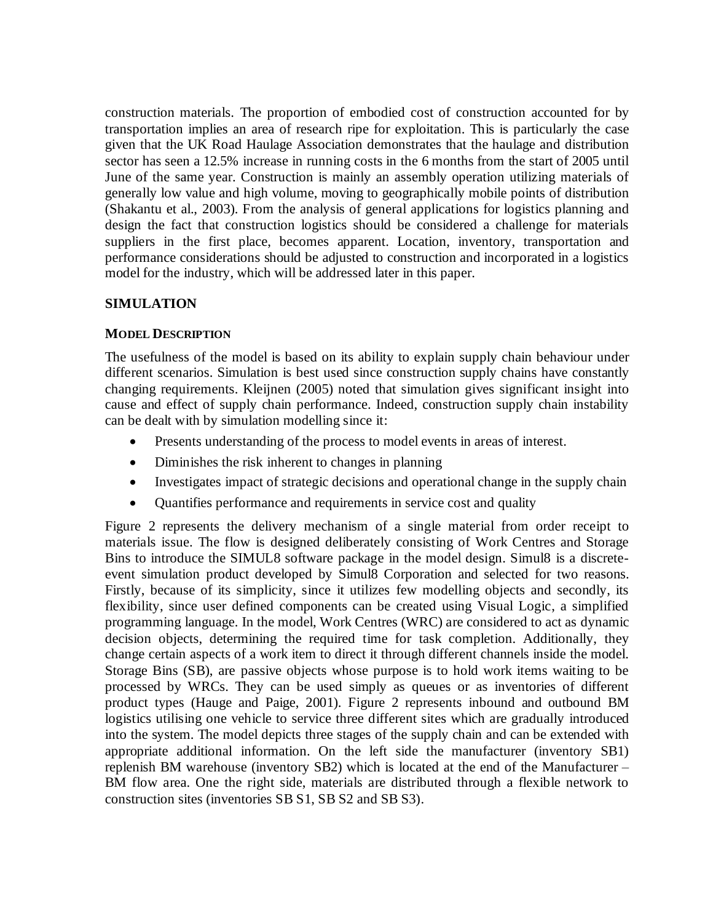construction materials. The proportion of embodied cost of construction accounted for by transportation implies an area of research ripe for exploitation. This is particularly the case given that the UK Road Haulage Association demonstrates that the haulage and distribution sector has seen a 12.5% increase in running costs in the 6 months from the start of 2005 until June of the same year. Construction is mainly an assembly operation utilizing materials of generally low value and high volume, moving to geographically mobile points of distribution (Shakantu et al., 2003). From the analysis of general applications for logistics planning and design the fact that construction logistics should be considered a challenge for materials suppliers in the first place, becomes apparent. Location, inventory, transportation and performance considerations should be adjusted to construction and incorporated in a logistics model for the industry, which will be addressed later in this paper.

# **SIMULATION**

## **MODEL DESCRIPTION**

The usefulness of the model is based on its ability to explain supply chain behaviour under different scenarios. Simulation is best used since construction supply chains have constantly changing requirements. Kleijnen (2005) noted that simulation gives significant insight into cause and effect of supply chain performance. Indeed, construction supply chain instability can be dealt with by simulation modelling since it:

- Presents understanding of the process to model events in areas of interest.
- Diminishes the risk inherent to changes in planning
- Investigates impact of strategic decisions and operational change in the supply chain
- Quantifies performance and requirements in service cost and quality

Figure 2 represents the delivery mechanism of a single material from order receipt to materials issue. The flow is designed deliberately consisting of Work Centres and Storage Bins to introduce the SIMUL8 software package in the model design. Simul8 is a discreteevent simulation product developed by Simul8 Corporation and selected for two reasons. Firstly, because of its simplicity, since it utilizes few modelling objects and secondly, its flexibility, since user defined components can be created using Visual Logic, a simplified programming language. In the model, Work Centres (WRC) are considered to act as dynamic decision objects, determining the required time for task completion. Additionally, they change certain aspects of a work item to direct it through different channels inside the model. Storage Bins (SB), are passive objects whose purpose is to hold work items waiting to be processed by WRCs. They can be used simply as queues or as inventories of different product types (Hauge and Paige, 2001). Figure 2 represents inbound and outbound BM logistics utilising one vehicle to service three different sites which are gradually introduced into the system. The model depicts three stages of the supply chain and can be extended with appropriate additional information. On the left side the manufacturer (inventory SB1) replenish BM warehouse (inventory SB2) which is located at the end of the Manufacturer – BM flow area. One the right side, materials are distributed through a flexible network to construction sites (inventories SB S1, SB S2 and SB S3).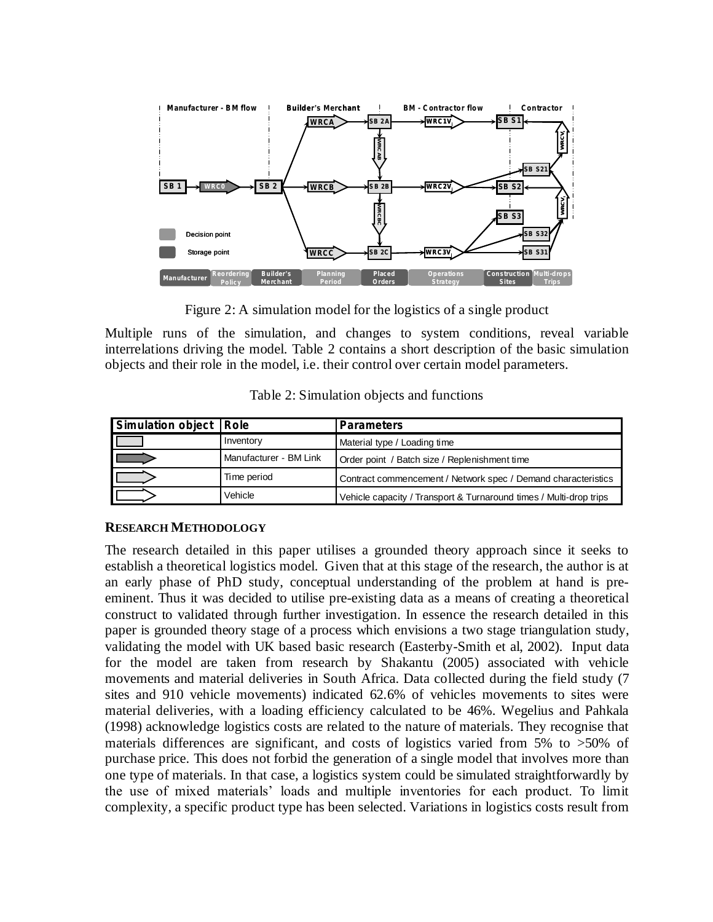

Figure 2: A simulation model for the logistics of a single product

Multiple runs of the simulation, and changes to system conditions, reveal variable interrelations driving the model. Table 2 contains a short description of the basic simulation objects and their role in the model, i.e. their control over certain model parameters.

| Simulation object   Role |                        | <b>Parameters</b>                                                  |
|--------------------------|------------------------|--------------------------------------------------------------------|
|                          | Inventory              | Material type / Loading time                                       |
|                          | Manufacturer - BM Link | Order point / Batch size / Replenishment time                      |
|                          | Time period            | Contract commencement / Network spec / Demand characteristics      |
|                          | Vehicle                | Vehicle capacity / Transport & Turnaround times / Multi-drop trips |

## **RESEARCH METHODOLOGY**

The research detailed in this paper utilises a grounded theory approach since it seeks to establish a theoretical logistics model. Given that at this stage of the research, the author is at an early phase of PhD study, conceptual understanding of the problem at hand is preeminent. Thus it was decided to utilise pre-existing data as a means of creating a theoretical construct to validated through further investigation. In essence the research detailed in this paper is grounded theory stage of a process which envisions a two stage triangulation study, validating the model with UK based basic research (Easterby-Smith et al, 2002). Input data for the model are taken from research by Shakantu (2005) associated with vehicle movements and material deliveries in South Africa. Data collected during the field study (7 sites and 910 vehicle movements) indicated 62.6% of vehicles movements to sites were material deliveries, with a loading efficiency calculated to be 46%. Wegelius and Pahkala (1998) acknowledge logistics costs are related to the nature of materials. They recognise that materials differences are significant, and costs of logistics varied from 5% to >50% of purchase price. This does not forbid the generation of a single model that involves more than one type of materials. In that case, a logistics system could be simulated straightforwardly by the use of mixed materials' loads and multiple inventories for each product. To limit complexity, a specific product type has been selected. Variations in logistics costs result from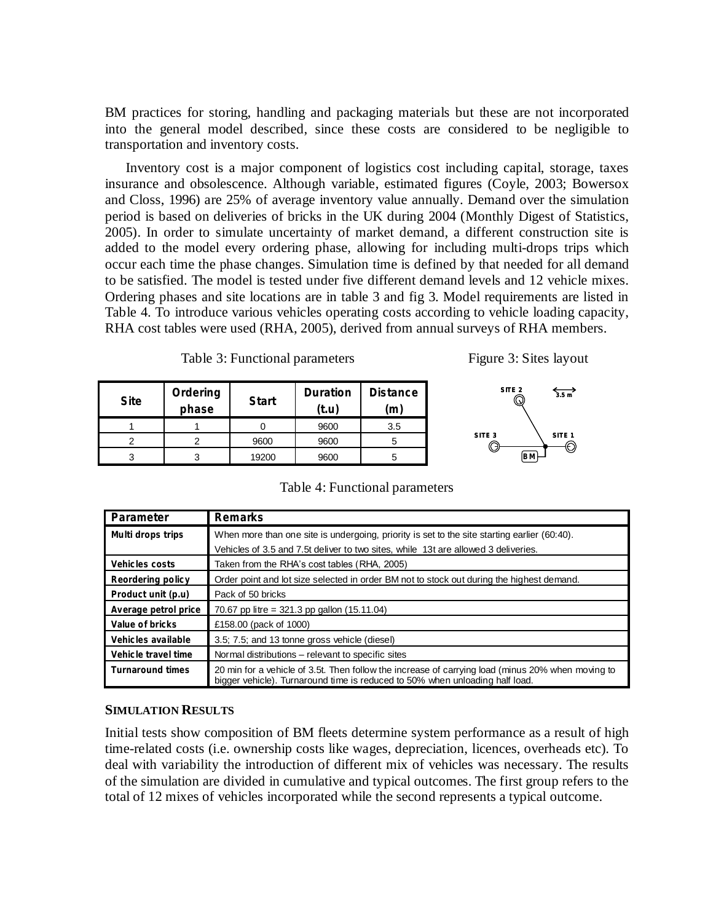BM practices for storing, handling and packaging materials but these are not incorporated into the general model described, since these costs are considered to be negligible to transportation and inventory costs.

Inventory cost is a major component of logistics cost including capital, storage, taxes insurance and obsolescence. Although variable, estimated figures (Coyle, 2003; Bowersox and Closs, 1996) are 25% of average inventory value annually. Demand over the simulation period is based on deliveries of bricks in the UK during 2004 (Monthly Digest of Statistics, 2005). In order to simulate uncertainty of market demand, a different construction site is added to the model every ordering phase, allowing for including multi-drops trips which occur each time the phase changes. Simulation time is defined by that needed for all demand to be satisfied. The model is tested under five different demand levels and 12 vehicle mixes. Ordering phases and site locations are in table 3 and fig 3. Model requirements are listed in Table 4. To introduce various vehicles operating costs according to vehicle loading capacity, RHA cost tables were used (RHA, 2005), derived from annual surveys of RHA members.

| Table 3: Functional parameters |  |
|--------------------------------|--|
|--------------------------------|--|

Figure 3: Sites layout

**BM**

**SITE 2**

**SITE 3**

**SITE 1**

**3.5 m**

| <b>Site</b> | Ordering<br>phase | <b>Start</b> | <b>Duration</b><br>(t.u) | <b>Distance</b><br>m |
|-------------|-------------------|--------------|--------------------------|----------------------|
|             |                   |              | 9600                     | 3.5                  |
|             |                   | 9600         | 9600                     |                      |
|             |                   | 19200        | 9600                     |                      |

| <b>Parameter</b>         | <b>Remarks</b>                                                                                                                                                                    |  |
|--------------------------|-----------------------------------------------------------------------------------------------------------------------------------------------------------------------------------|--|
| Multi drops trips        | When more than one site is undergoing, priority is set to the site starting earlier (60:40).                                                                                      |  |
|                          | Vehicles of 3.5 and 7.5t deliver to two sites, while 13t are allowed 3 deliveries.                                                                                                |  |
| <b>Vehicles costs</b>    | Taken from the RHA's cost tables (RHA, 2005)                                                                                                                                      |  |
| <b>Reordering policy</b> | Order point and lot size selected in order BM not to stock out during the highest demand.                                                                                         |  |
| Product unit (p.u)       | Pack of 50 bricks                                                                                                                                                                 |  |
| Average petrol price     | 70.67 pp litre = $321.3$ pp gallon (15.11.04)                                                                                                                                     |  |
| Value of bricks          | £158.00 (pack of 1000)                                                                                                                                                            |  |
| Vehicles available       | 3.5; 7.5; and 13 tonne gross vehicle (diesel)                                                                                                                                     |  |
| Vehicle travel time      | Normal distributions – relevant to specific sites                                                                                                                                 |  |
| <b>Turnaround times</b>  | 20 min for a vehicle of 3.5t. Then follow the increase of carrying load (minus 20% when moving to<br>bigger vehicle). Turnaround time is reduced to 50% when unloading half load. |  |

#### **SIMULATION RESULTS**

Initial tests show composition of BM fleets determine system performance as a result of high time-related costs (i.e. ownership costs like wages, depreciation, licences, overheads etc). To deal with variability the introduction of different mix of vehicles was necessary. The results of the simulation are divided in cumulative and typical outcomes. The first group refers to the total of 12 mixes of vehicles incorporated while the second represents a typical outcome.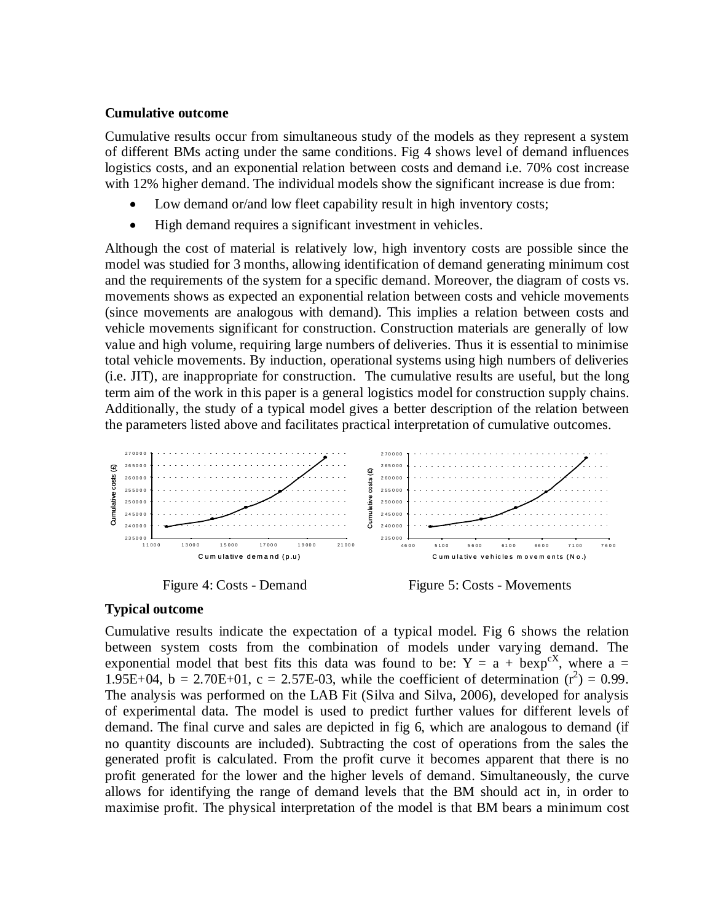#### **Cumulative outcome**

Cumulative results occur from simultaneous study of the models as they represent a system of different BMs acting under the same conditions. Fig 4 shows level of demand influences logistics costs, and an exponential relation between costs and demand i.e. 70% cost increase with 12% higher demand. The individual models show the significant increase is due from:

- Low demand or/and low fleet capability result in high inventory costs;
- High demand requires a significant investment in vehicles.

Although the cost of material is relatively low, high inventory costs are possible since the model was studied for 3 months, allowing identification of demand generating minimum cost and the requirements of the system for a specific demand. Moreover, the diagram of costs vs. movements shows as expected an exponential relation between costs and vehicle movements (since movements are analogous with demand). This implies a relation between costs and vehicle movements significant for construction. Construction materials are generally of low value and high volume, requiring large numbers of deliveries. Thus it is essential to minimise total vehicle movements. By induction, operational systems using high numbers of deliveries (i.e. JIT), are inappropriate for construction. The cumulative results are useful, but the long term aim of the work in this paper is a general logistics model for construction supply chains. Additionally, the study of a typical model gives a better description of the relation between the parameters listed above and facilitates practical interpretation of cumulative outcomes.





## **Typical outcome**

Cumulative results indicate the expectation of a typical model. Fig 6 shows the relation between system costs from the combination of models under varying demand. The exponential model that best fits this data was found to be:  $Y = a + b \exp^{cX}$ , where a = 1.95E+04, b = 2.70E+01, c = 2.57E-03, while the coefficient of determination  $(r^2) = 0.99$ . The analysis was performed on the LAB Fit (Silva and Silva, 2006), developed for analysis of experimental data. The model is used to predict further values for different levels of demand. The final curve and sales are depicted in fig 6, which are analogous to demand (if no quantity discounts are included). Subtracting the cost of operations from the sales the generated profit is calculated. From the profit curve it becomes apparent that there is no profit generated for the lower and the higher levels of demand. Simultaneously, the curve allows for identifying the range of demand levels that the BM should act in, in order to maximise profit. The physical interpretation of the model is that BM bears a minimum cost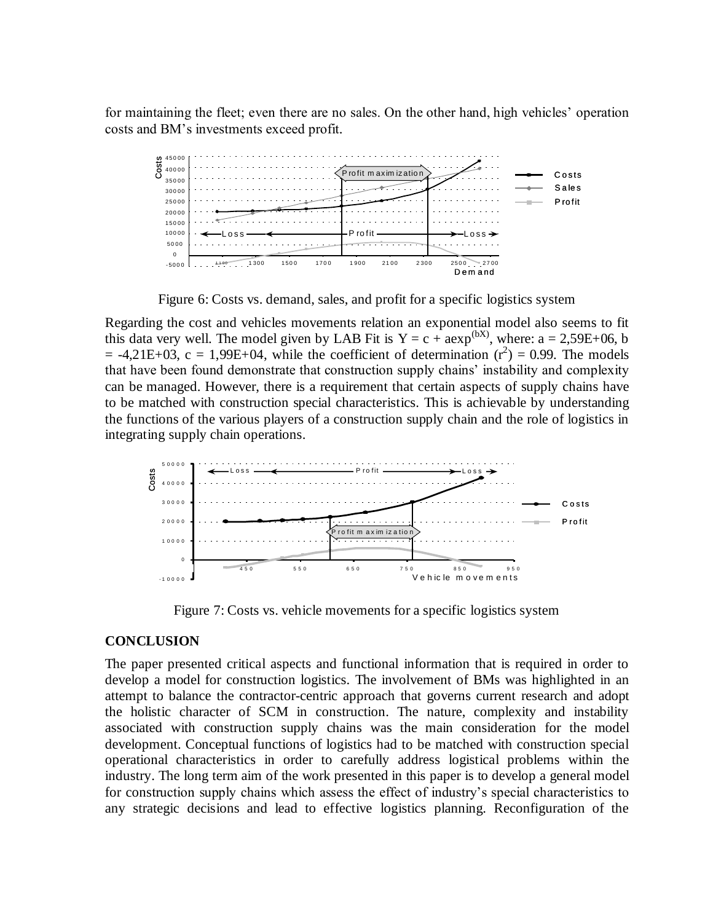for maintaining the fleet; even there are no sales. On the other hand, high vehicles' operation costs and BM's investments exceed profit.



Figure 6: Costs vs. demand, sales, and profit for a specific logistics system

Regarding the cost and vehicles movements relation an exponential model also seems to fit this data very well. The model given by LAB Fit is  $Y = c + aexp^{(bX)}$ , where:  $a = 2.59E+06$ , b  $= -4,21E+03$ ,  $c = 1,99E+04$ , while the coefficient of determination  $(r^2) = 0.99$ . The models that have been found demonstrate that construction supply chains' instability and complexity can be managed. However, there is a requirement that certain aspects of supply chains have to be matched with construction special characteristics. This is achievable by understanding the functions of the various players of a construction supply chain and the role of logistics in integrating supply chain operations.



Figure 7: Costs vs. vehicle movements for a specific logistics system

#### **CONCLUSION**

The paper presented critical aspects and functional information that is required in order to develop a model for construction logistics. The involvement of BMs was highlighted in an attempt to balance the contractor-centric approach that governs current research and adopt the holistic character of SCM in construction. The nature, complexity and instability associated with construction supply chains was the main consideration for the model development. Conceptual functions of logistics had to be matched with construction special operational characteristics in order to carefully address logistical problems within the industry. The long term aim of the work presented in this paper is to develop a general model for construction supply chains which assess the effect of industry's special characteristics to any strategic decisions and lead to effective logistics planning. Reconfiguration of the